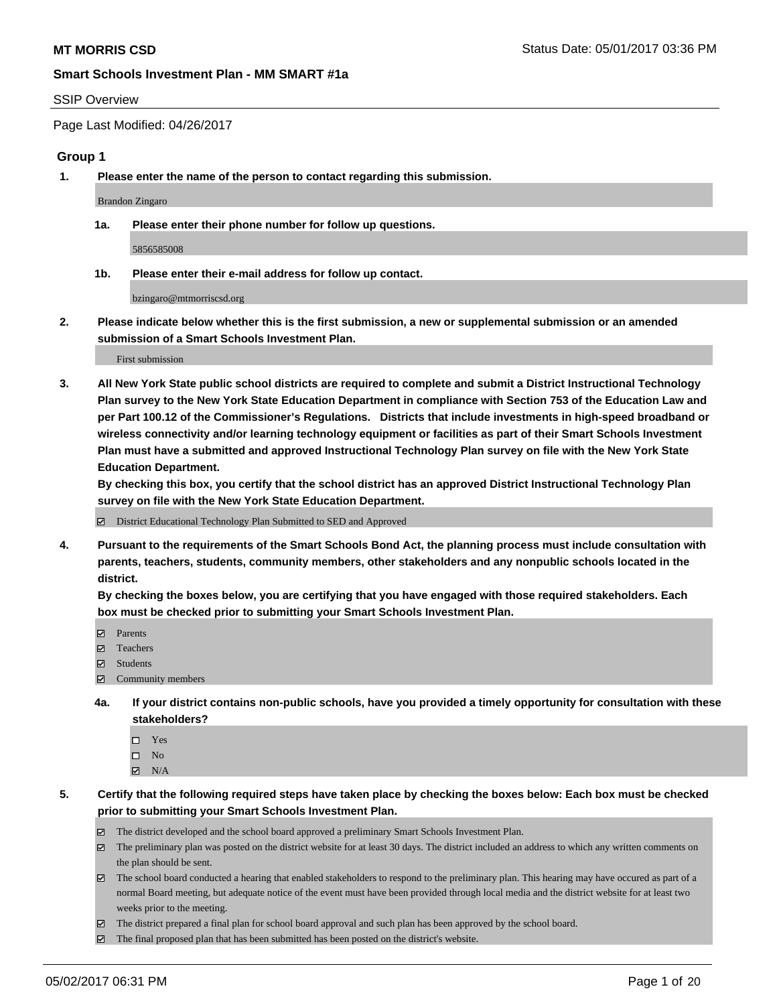#### SSIP Overview

Page Last Modified: 04/26/2017

#### **Group 1**

**1. Please enter the name of the person to contact regarding this submission.**

Brandon Zingaro

**1a. Please enter their phone number for follow up questions.**

5856585008

**1b. Please enter their e-mail address for follow up contact.**

bzingaro@mtmorriscsd.org

**2. Please indicate below whether this is the first submission, a new or supplemental submission or an amended submission of a Smart Schools Investment Plan.**

First submission

**3. All New York State public school districts are required to complete and submit a District Instructional Technology Plan survey to the New York State Education Department in compliance with Section 753 of the Education Law and per Part 100.12 of the Commissioner's Regulations. Districts that include investments in high-speed broadband or wireless connectivity and/or learning technology equipment or facilities as part of their Smart Schools Investment Plan must have a submitted and approved Instructional Technology Plan survey on file with the New York State Education Department.** 

**By checking this box, you certify that the school district has an approved District Instructional Technology Plan survey on file with the New York State Education Department.**

District Educational Technology Plan Submitted to SED and Approved

**4. Pursuant to the requirements of the Smart Schools Bond Act, the planning process must include consultation with parents, teachers, students, community members, other stakeholders and any nonpublic schools located in the district.** 

**By checking the boxes below, you are certifying that you have engaged with those required stakeholders. Each box must be checked prior to submitting your Smart Schools Investment Plan.**

- **マ** Parents
- □ Teachers
- Students
- $\Xi$  Community members
- **4a. If your district contains non-public schools, have you provided a timely opportunity for consultation with these stakeholders?**
	- Yes
	- $\hfill \square$  No
	- $\boxtimes$  N/A
- **5. Certify that the following required steps have taken place by checking the boxes below: Each box must be checked prior to submitting your Smart Schools Investment Plan.**
	- The district developed and the school board approved a preliminary Smart Schools Investment Plan.
	- $\boxtimes$  The preliminary plan was posted on the district website for at least 30 days. The district included an address to which any written comments on the plan should be sent.
	- $\boxtimes$  The school board conducted a hearing that enabled stakeholders to respond to the preliminary plan. This hearing may have occured as part of a normal Board meeting, but adequate notice of the event must have been provided through local media and the district website for at least two weeks prior to the meeting.
	- The district prepared a final plan for school board approval and such plan has been approved by the school board.
	- $\boxtimes$  The final proposed plan that has been submitted has been posted on the district's website.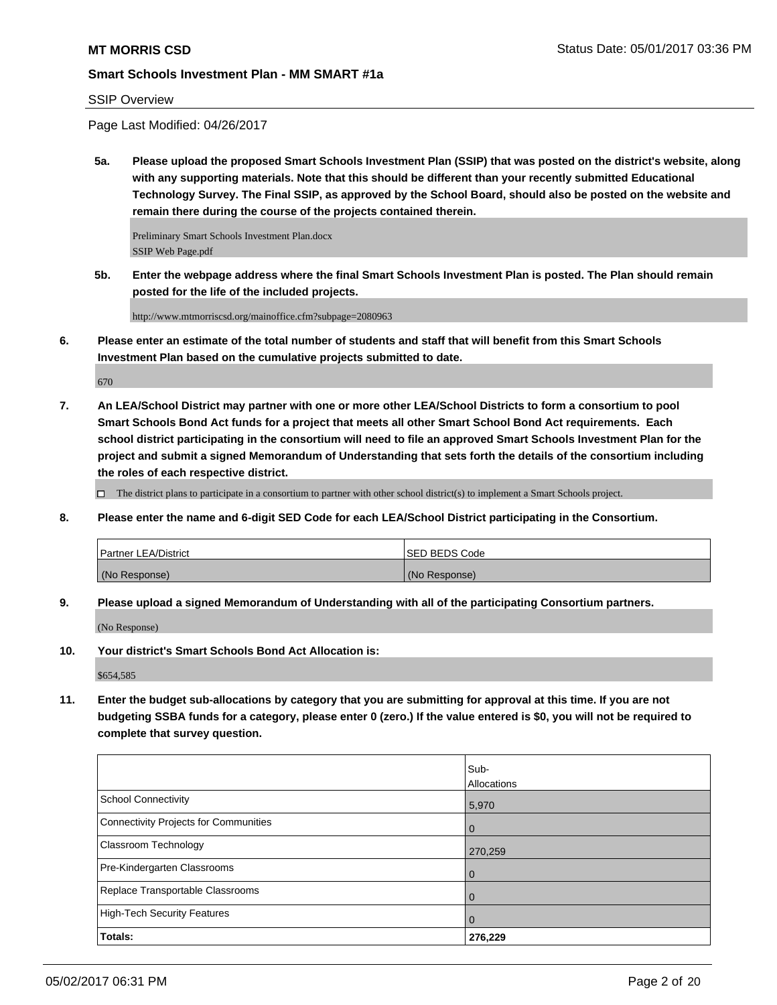### SSIP Overview

Page Last Modified: 04/26/2017

**5a. Please upload the proposed Smart Schools Investment Plan (SSIP) that was posted on the district's website, along with any supporting materials. Note that this should be different than your recently submitted Educational Technology Survey. The Final SSIP, as approved by the School Board, should also be posted on the website and remain there during the course of the projects contained therein.**

Preliminary Smart Schools Investment Plan.docx SSIP Web Page.pdf

**5b. Enter the webpage address where the final Smart Schools Investment Plan is posted. The Plan should remain posted for the life of the included projects.**

http://www.mtmorriscsd.org/mainoffice.cfm?subpage=2080963

**6. Please enter an estimate of the total number of students and staff that will benefit from this Smart Schools Investment Plan based on the cumulative projects submitted to date.**

670

**7. An LEA/School District may partner with one or more other LEA/School Districts to form a consortium to pool Smart Schools Bond Act funds for a project that meets all other Smart School Bond Act requirements. Each school district participating in the consortium will need to file an approved Smart Schools Investment Plan for the project and submit a signed Memorandum of Understanding that sets forth the details of the consortium including the roles of each respective district.**

 $\Box$  The district plans to participate in a consortium to partner with other school district(s) to implement a Smart Schools project.

**8. Please enter the name and 6-digit SED Code for each LEA/School District participating in the Consortium.**

| <b>Partner LEA/District</b> | ISED BEDS Code |
|-----------------------------|----------------|
| (No Response)               | (No Response)  |

**9. Please upload a signed Memorandum of Understanding with all of the participating Consortium partners.**

(No Response)

**10. Your district's Smart Schools Bond Act Allocation is:**

\$654,585

**11. Enter the budget sub-allocations by category that you are submitting for approval at this time. If you are not budgeting SSBA funds for a category, please enter 0 (zero.) If the value entered is \$0, you will not be required to complete that survey question.**

|                                       | Sub-           |
|---------------------------------------|----------------|
|                                       | Allocations    |
| <b>School Connectivity</b>            | 5,970          |
| Connectivity Projects for Communities | l O            |
| <b>Classroom Technology</b>           | 270,259        |
| Pre-Kindergarten Classrooms           | l 0            |
| Replace Transportable Classrooms      | $\Omega$       |
| High-Tech Security Features           | $\overline{0}$ |
| Totals:                               | 276,229        |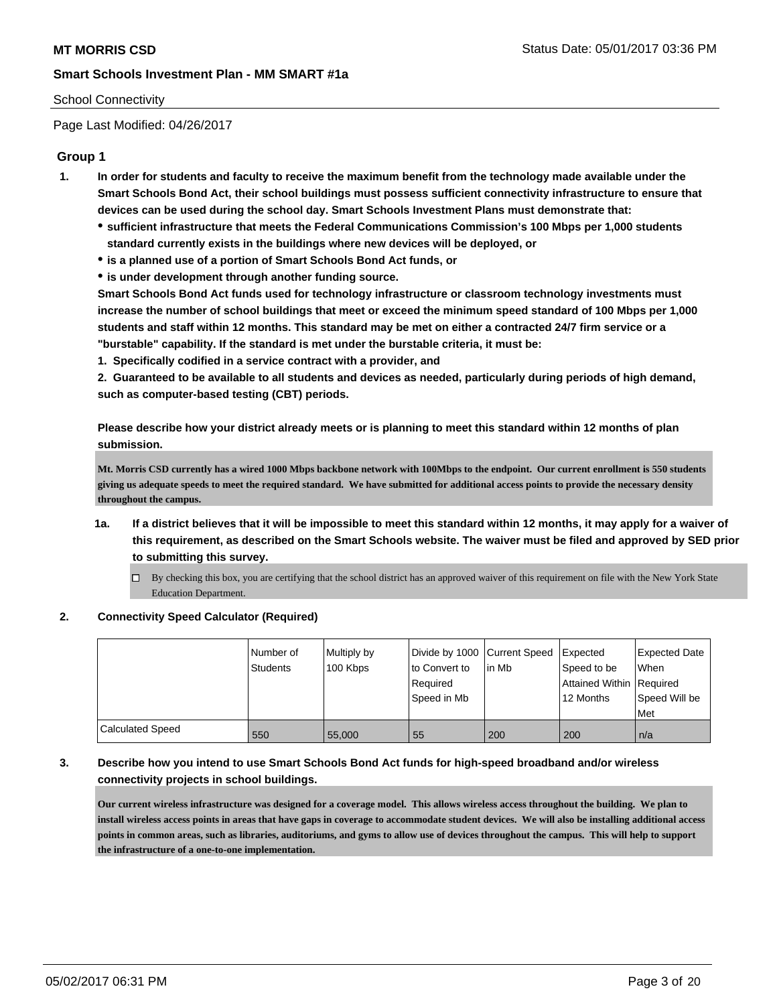#### School Connectivity

Page Last Modified: 04/26/2017

### **Group 1**

- **1. In order for students and faculty to receive the maximum benefit from the technology made available under the Smart Schools Bond Act, their school buildings must possess sufficient connectivity infrastructure to ensure that devices can be used during the school day. Smart Schools Investment Plans must demonstrate that:**
	- **sufficient infrastructure that meets the Federal Communications Commission's 100 Mbps per 1,000 students standard currently exists in the buildings where new devices will be deployed, or**
	- **is a planned use of a portion of Smart Schools Bond Act funds, or**
	- **is under development through another funding source.**

**Smart Schools Bond Act funds used for technology infrastructure or classroom technology investments must increase the number of school buildings that meet or exceed the minimum speed standard of 100 Mbps per 1,000 students and staff within 12 months. This standard may be met on either a contracted 24/7 firm service or a "burstable" capability. If the standard is met under the burstable criteria, it must be:**

**1. Specifically codified in a service contract with a provider, and**

**2. Guaranteed to be available to all students and devices as needed, particularly during periods of high demand, such as computer-based testing (CBT) periods.**

**Please describe how your district already meets or is planning to meet this standard within 12 months of plan submission.**

**Mt. Morris CSD currently has a wired 1000 Mbps backbone network with 100Mbps to the endpoint. Our current enrollment is 550 students giving us adequate speeds to meet the required standard. We have submitted for additional access points to provide the necessary density throughout the campus.** 

- **1a. If a district believes that it will be impossible to meet this standard within 12 months, it may apply for a waiver of this requirement, as described on the Smart Schools website. The waiver must be filed and approved by SED prior to submitting this survey.**
	- By checking this box, you are certifying that the school district has an approved waiver of this requirement on file with the New York State Education Department.

#### **2. Connectivity Speed Calculator (Required)**

|                         | Number of<br><b>Students</b> | Multiply by<br>100 Kbps | to Convert to<br>Required<br>l Speed in Mb | Divide by 1000 Current Speed Expected<br>lin Mb | Speed to be<br>Attained Within Required<br>12 Months | <b>Expected Date</b><br><b>When</b><br>Speed Will be<br>Met |
|-------------------------|------------------------------|-------------------------|--------------------------------------------|-------------------------------------------------|------------------------------------------------------|-------------------------------------------------------------|
| <b>Calculated Speed</b> | 550                          | 55,000                  | 55                                         | 200                                             | 200                                                  | n/a                                                         |

## **3. Describe how you intend to use Smart Schools Bond Act funds for high-speed broadband and/or wireless connectivity projects in school buildings.**

**Our current wireless infrastructure was designed for a coverage model. This allows wireless access throughout the building. We plan to install wireless access points in areas that have gaps in coverage to accommodate student devices. We will also be installing additional access points in common areas, such as libraries, auditoriums, and gyms to allow use of devices throughout the campus. This will help to support the infrastructure of a one-to-one implementation.**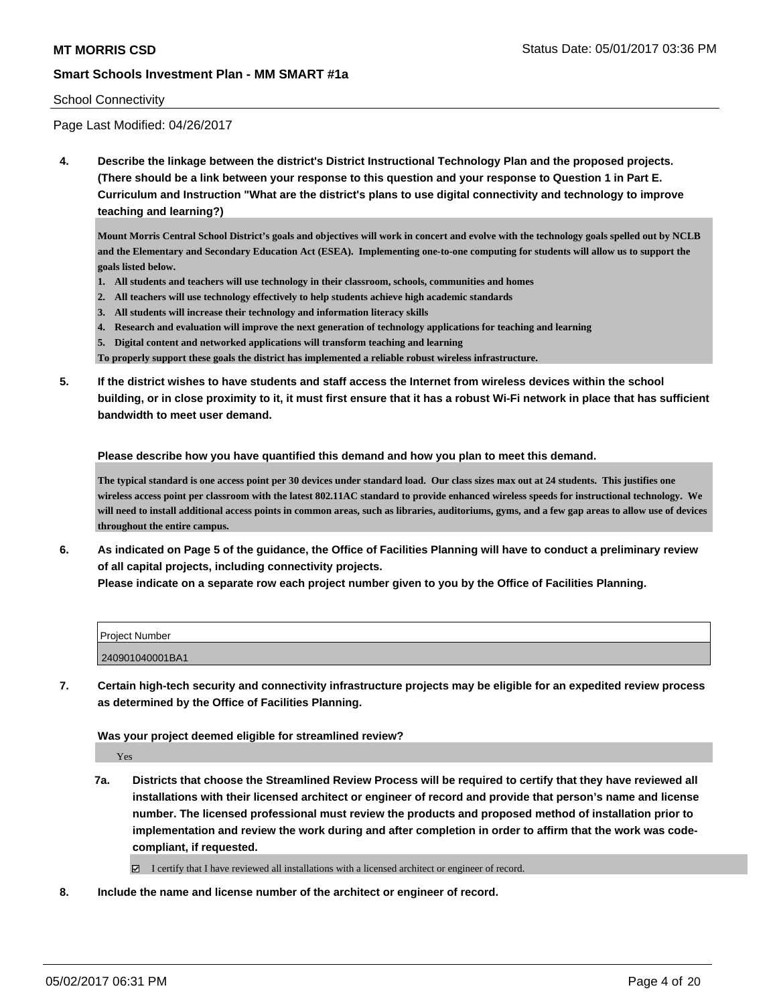#### School Connectivity

Page Last Modified: 04/26/2017

**4. Describe the linkage between the district's District Instructional Technology Plan and the proposed projects. (There should be a link between your response to this question and your response to Question 1 in Part E. Curriculum and Instruction "What are the district's plans to use digital connectivity and technology to improve teaching and learning?)**

**Mount Morris Central School District's goals and objectives will work in concert and evolve with the technology goals spelled out by NCLB and the Elementary and Secondary Education Act (ESEA). Implementing one-to-one computing for students will allow us to support the goals listed below.** 

- **1. All students and teachers will use technology in their classroom, schools, communities and homes**
- **2. All teachers will use technology effectively to help students achieve high academic standards**
- **3. All students will increase their technology and information literacy skills**
- **4. Research and evaluation will improve the next generation of technology applications for teaching and learning**
- **5. Digital content and networked applications will transform teaching and learning**

**To properly support these goals the district has implemented a reliable robust wireless infrastructure.** 

**5. If the district wishes to have students and staff access the Internet from wireless devices within the school building, or in close proximity to it, it must first ensure that it has a robust Wi-Fi network in place that has sufficient bandwidth to meet user demand.**

**Please describe how you have quantified this demand and how you plan to meet this demand.**

**The typical standard is one access point per 30 devices under standard load. Our class sizes max out at 24 students. This justifies one wireless access point per classroom with the latest 802.11AC standard to provide enhanced wireless speeds for instructional technology. We will need to install additional access points in common areas, such as libraries, auditoriums, gyms, and a few gap areas to allow use of devices throughout the entire campus.** 

**6. As indicated on Page 5 of the guidance, the Office of Facilities Planning will have to conduct a preliminary review of all capital projects, including connectivity projects.**

|  | Please indicate on a separate row each project number given to you by the Office of Facilities Planning. |
|--|----------------------------------------------------------------------------------------------------------|
|--|----------------------------------------------------------------------------------------------------------|

| <b>Project Number</b> |  |
|-----------------------|--|
| 240901040001BA1       |  |

**7. Certain high-tech security and connectivity infrastructure projects may be eligible for an expedited review process as determined by the Office of Facilities Planning.**

**Was your project deemed eligible for streamlined review?**

Yes

**7a. Districts that choose the Streamlined Review Process will be required to certify that they have reviewed all installations with their licensed architect or engineer of record and provide that person's name and license number. The licensed professional must review the products and proposed method of installation prior to implementation and review the work during and after completion in order to affirm that the work was codecompliant, if requested.**

I certify that I have reviewed all installations with a licensed architect or engineer of record.

**8. Include the name and license number of the architect or engineer of record.**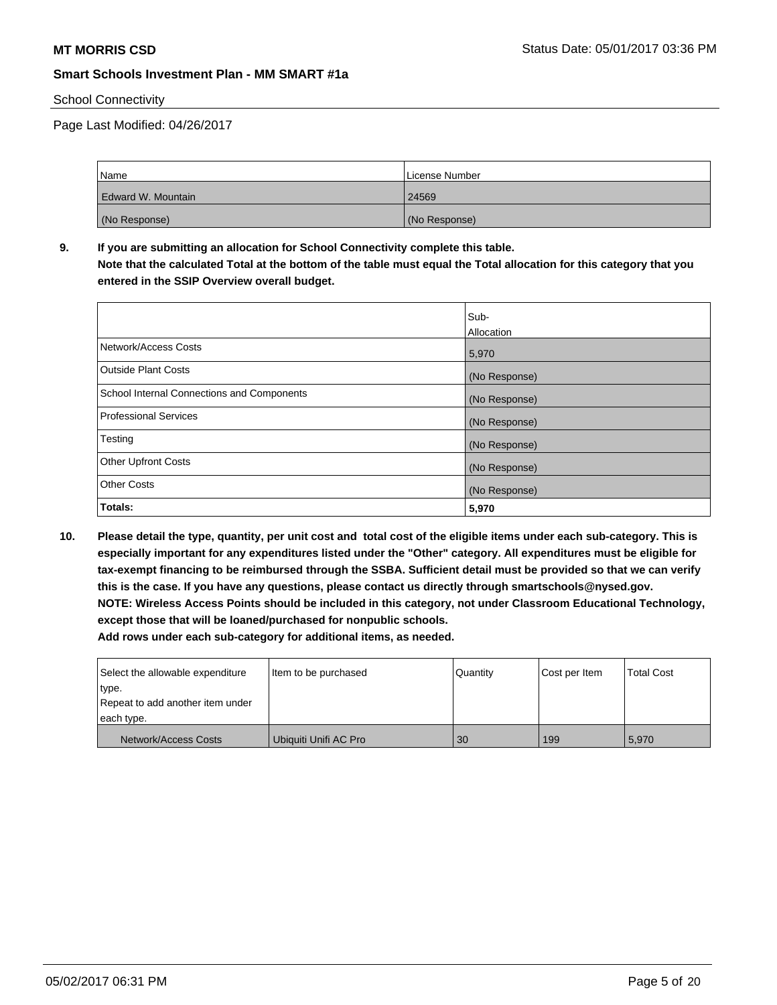### School Connectivity

Page Last Modified: 04/26/2017

| <b>Name</b>          | License Number |
|----------------------|----------------|
| l Edward W. Mountain | 24569          |
| (No Response)        | (No Response)  |

**9. If you are submitting an allocation for School Connectivity complete this table. Note that the calculated Total at the bottom of the table must equal the Total allocation for this category that you entered in the SSIP Overview overall budget.** 

|                                            | Sub-<br>Allocation |
|--------------------------------------------|--------------------|
| Network/Access Costs                       | 5,970              |
| <b>Outside Plant Costs</b>                 | (No Response)      |
| School Internal Connections and Components | (No Response)      |
| <b>Professional Services</b>               | (No Response)      |
| Testing                                    | (No Response)      |
| <b>Other Upfront Costs</b>                 | (No Response)      |
| <b>Other Costs</b>                         | (No Response)      |
| Totals:                                    | 5,970              |

**10. Please detail the type, quantity, per unit cost and total cost of the eligible items under each sub-category. This is especially important for any expenditures listed under the "Other" category. All expenditures must be eligible for tax-exempt financing to be reimbursed through the SSBA. Sufficient detail must be provided so that we can verify this is the case. If you have any questions, please contact us directly through smartschools@nysed.gov. NOTE: Wireless Access Points should be included in this category, not under Classroom Educational Technology, except those that will be loaned/purchased for nonpublic schools.**

| Select the allowable expenditure | Item to be purchased  | Quantity | Cost per Item | <b>Total Cost</b> |
|----------------------------------|-----------------------|----------|---------------|-------------------|
| type.                            |                       |          |               |                   |
| Repeat to add another item under |                       |          |               |                   |
| each type.                       |                       |          |               |                   |
| Network/Access Costs             | Ubiquiti Unifi AC Pro | 30       | 199           | 5,970             |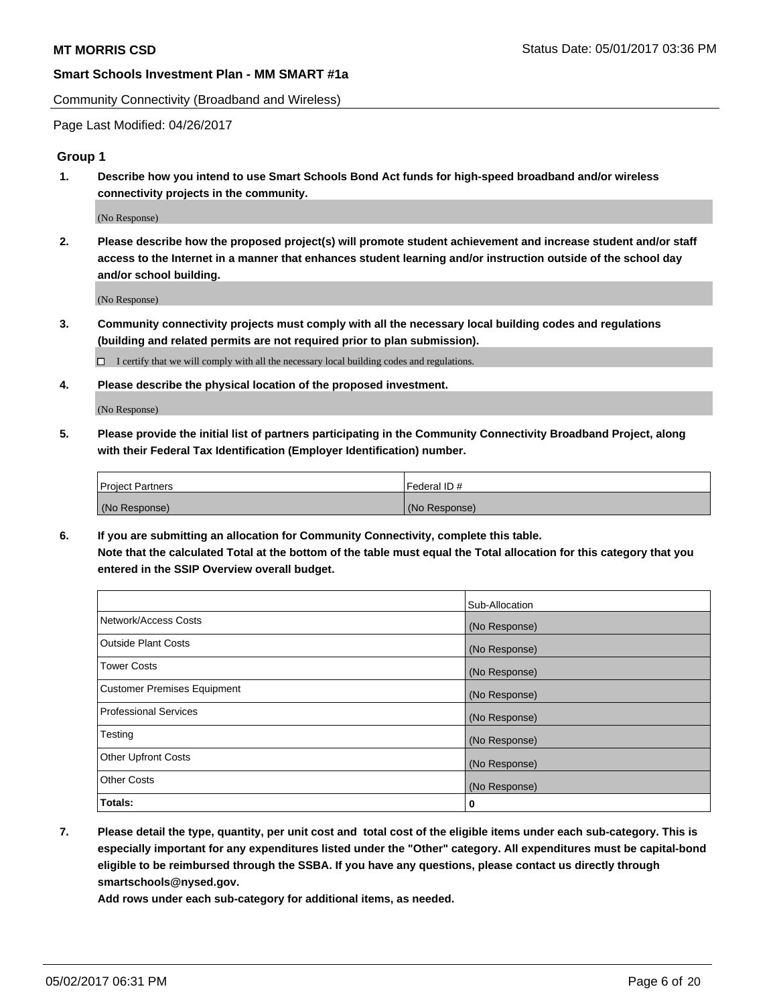Community Connectivity (Broadband and Wireless)

Page Last Modified: 04/26/2017

#### **Group 1**

**1. Describe how you intend to use Smart Schools Bond Act funds for high-speed broadband and/or wireless connectivity projects in the community.**

(No Response)

**2. Please describe how the proposed project(s) will promote student achievement and increase student and/or staff access to the Internet in a manner that enhances student learning and/or instruction outside of the school day and/or school building.**

(No Response)

**3. Community connectivity projects must comply with all the necessary local building codes and regulations (building and related permits are not required prior to plan submission).**

 $\Box$  I certify that we will comply with all the necessary local building codes and regulations.

**4. Please describe the physical location of the proposed investment.**

(No Response)

**5. Please provide the initial list of partners participating in the Community Connectivity Broadband Project, along with their Federal Tax Identification (Employer Identification) number.**

| <b>Project Partners</b> | Federal ID#     |
|-------------------------|-----------------|
| (No Response)           | l (No Response) |

**6. If you are submitting an allocation for Community Connectivity, complete this table. Note that the calculated Total at the bottom of the table must equal the Total allocation for this category that you entered in the SSIP Overview overall budget.**

|                                    | Sub-Allocation |
|------------------------------------|----------------|
| Network/Access Costs               | (No Response)  |
| Outside Plant Costs                | (No Response)  |
| Tower Costs                        | (No Response)  |
| <b>Customer Premises Equipment</b> | (No Response)  |
| <b>Professional Services</b>       | (No Response)  |
| Testing                            | (No Response)  |
| <b>Other Upfront Costs</b>         | (No Response)  |
| <b>Other Costs</b>                 | (No Response)  |
| Totals:                            | 0              |

**7. Please detail the type, quantity, per unit cost and total cost of the eligible items under each sub-category. This is especially important for any expenditures listed under the "Other" category. All expenditures must be capital-bond eligible to be reimbursed through the SSBA. If you have any questions, please contact us directly through smartschools@nysed.gov.**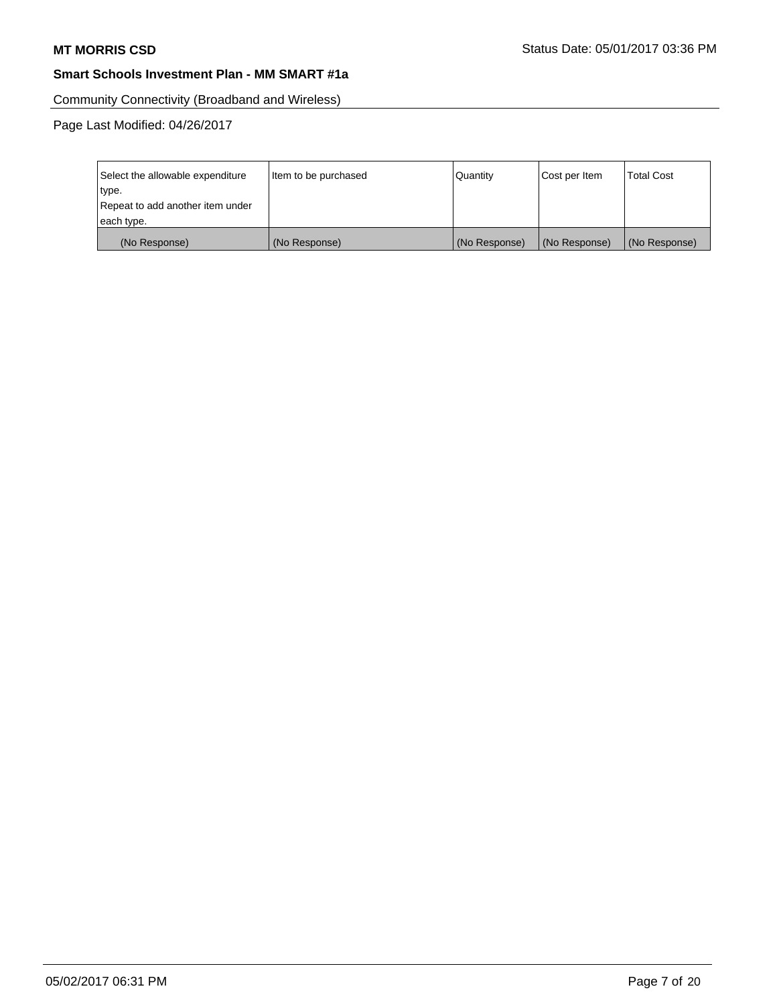Community Connectivity (Broadband and Wireless)

| Select the allowable expenditure<br>type.<br>Repeat to add another item under | Item to be purchased | Quantity      | Cost per Item | <b>Total Cost</b> |
|-------------------------------------------------------------------------------|----------------------|---------------|---------------|-------------------|
| each type.                                                                    |                      |               |               |                   |
| (No Response)                                                                 | (No Response)        | (No Response) | (No Response) | (No Response)     |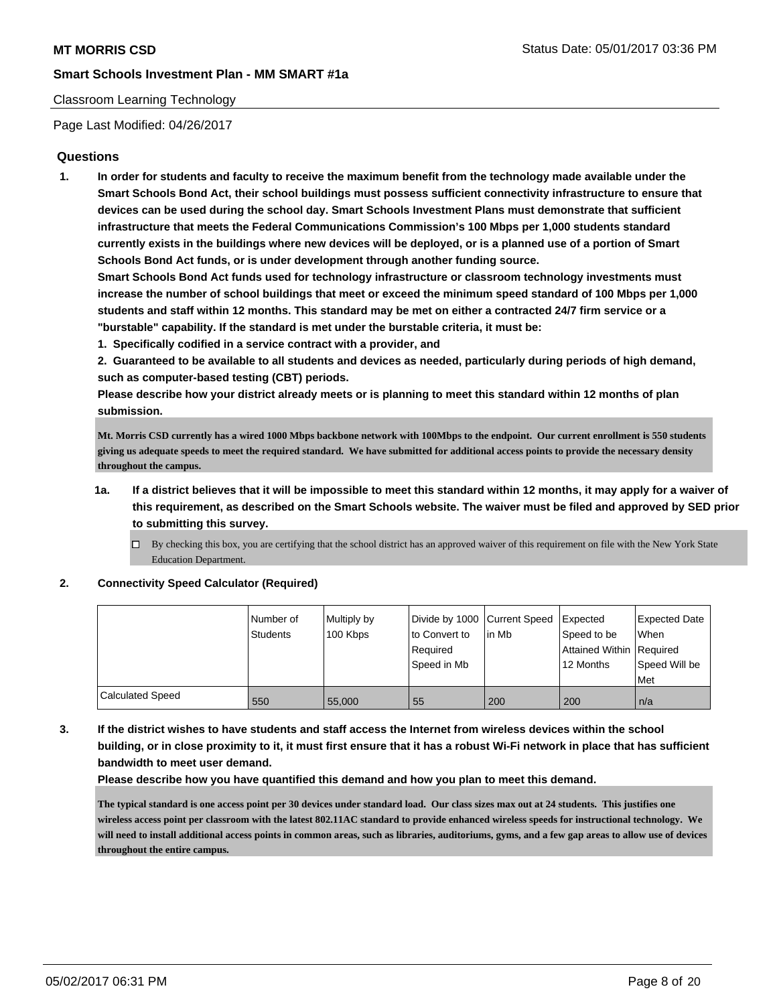#### Classroom Learning Technology

Page Last Modified: 04/26/2017

### **Questions**

**1. In order for students and faculty to receive the maximum benefit from the technology made available under the Smart Schools Bond Act, their school buildings must possess sufficient connectivity infrastructure to ensure that devices can be used during the school day. Smart Schools Investment Plans must demonstrate that sufficient infrastructure that meets the Federal Communications Commission's 100 Mbps per 1,000 students standard currently exists in the buildings where new devices will be deployed, or is a planned use of a portion of Smart Schools Bond Act funds, or is under development through another funding source.**

**Smart Schools Bond Act funds used for technology infrastructure or classroom technology investments must increase the number of school buildings that meet or exceed the minimum speed standard of 100 Mbps per 1,000 students and staff within 12 months. This standard may be met on either a contracted 24/7 firm service or a "burstable" capability. If the standard is met under the burstable criteria, it must be:**

**1. Specifically codified in a service contract with a provider, and**

**2. Guaranteed to be available to all students and devices as needed, particularly during periods of high demand, such as computer-based testing (CBT) periods.**

**Please describe how your district already meets or is planning to meet this standard within 12 months of plan submission.**

**Mt. Morris CSD currently has a wired 1000 Mbps backbone network with 100Mbps to the endpoint. Our current enrollment is 550 students giving us adequate speeds to meet the required standard. We have submitted for additional access points to provide the necessary density throughout the campus.** 

- **1a. If a district believes that it will be impossible to meet this standard within 12 months, it may apply for a waiver of this requirement, as described on the Smart Schools website. The waiver must be filed and approved by SED prior to submitting this survey.**
	- $\Box$  By checking this box, you are certifying that the school district has an approved waiver of this requirement on file with the New York State Education Department.

**2. Connectivity Speed Calculator (Required)**

|                         | Number of<br><b>Students</b> | Multiply by<br>100 Kbps | Divide by 1000 Current Speed<br>to Convert to<br>Required<br>Speed in Mb | in Mb | Expected<br>Speed to be<br>Attained Within   Required<br>12 Months | <b>Expected Date</b><br><b>When</b><br>Speed Will be<br>Met |
|-------------------------|------------------------------|-------------------------|--------------------------------------------------------------------------|-------|--------------------------------------------------------------------|-------------------------------------------------------------|
| <b>Calculated Speed</b> | 550                          | 55,000                  | 55                                                                       | 200   | 200                                                                | l n/a                                                       |

**3. If the district wishes to have students and staff access the Internet from wireless devices within the school building, or in close proximity to it, it must first ensure that it has a robust Wi-Fi network in place that has sufficient bandwidth to meet user demand.**

**Please describe how you have quantified this demand and how you plan to meet this demand.**

**The typical standard is one access point per 30 devices under standard load. Our class sizes max out at 24 students. This justifies one wireless access point per classroom with the latest 802.11AC standard to provide enhanced wireless speeds for instructional technology. We will need to install additional access points in common areas, such as libraries, auditoriums, gyms, and a few gap areas to allow use of devices throughout the entire campus.**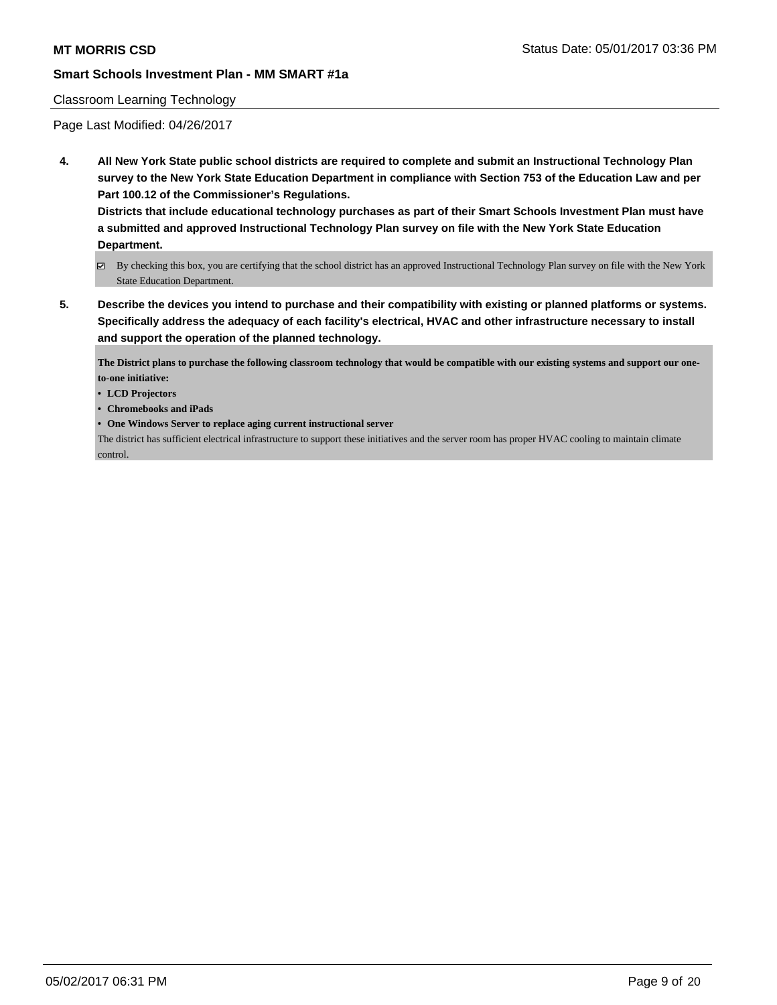#### Classroom Learning Technology

Page Last Modified: 04/26/2017

**4. All New York State public school districts are required to complete and submit an Instructional Technology Plan survey to the New York State Education Department in compliance with Section 753 of the Education Law and per Part 100.12 of the Commissioner's Regulations.**

**Districts that include educational technology purchases as part of their Smart Schools Investment Plan must have a submitted and approved Instructional Technology Plan survey on file with the New York State Education Department.**

- By checking this box, you are certifying that the school district has an approved Instructional Technology Plan survey on file with the New York State Education Department.
- **5. Describe the devices you intend to purchase and their compatibility with existing or planned platforms or systems. Specifically address the adequacy of each facility's electrical, HVAC and other infrastructure necessary to install and support the operation of the planned technology.**

**The District plans to purchase the following classroom technology that would be compatible with our existing systems and support our oneto-one initiative:**

- **• LCD Projectors**
- **• Chromebooks and iPads**
- **• One Windows Server to replace aging current instructional server**

The district has sufficient electrical infrastructure to support these initiatives and the server room has proper HVAC cooling to maintain climate control.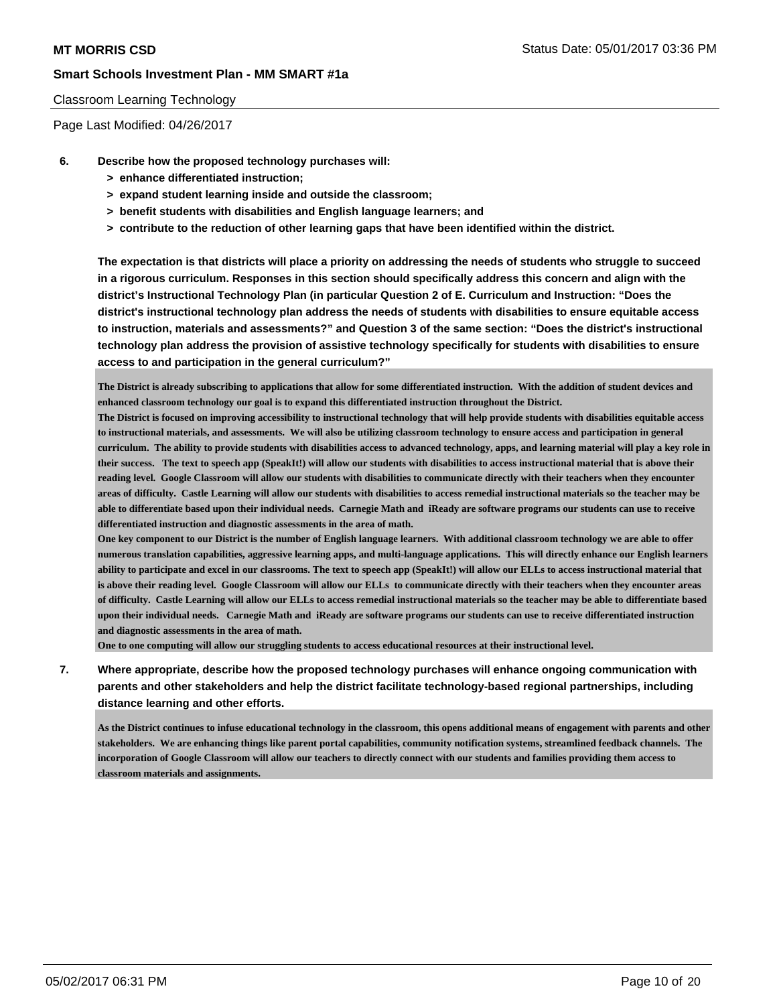#### Classroom Learning Technology

Page Last Modified: 04/26/2017

- **6. Describe how the proposed technology purchases will:**
	- **> enhance differentiated instruction;**
	- **> expand student learning inside and outside the classroom;**
	- **> benefit students with disabilities and English language learners; and**
	- **> contribute to the reduction of other learning gaps that have been identified within the district.**

**The expectation is that districts will place a priority on addressing the needs of students who struggle to succeed in a rigorous curriculum. Responses in this section should specifically address this concern and align with the district's Instructional Technology Plan (in particular Question 2 of E. Curriculum and Instruction: "Does the district's instructional technology plan address the needs of students with disabilities to ensure equitable access to instruction, materials and assessments?" and Question 3 of the same section: "Does the district's instructional technology plan address the provision of assistive technology specifically for students with disabilities to ensure access to and participation in the general curriculum?"**

**The District is already subscribing to applications that allow for some differentiated instruction. With the addition of student devices and enhanced classroom technology our goal is to expand this differentiated instruction throughout the District.**

**The District is focused on improving accessibility to instructional technology that will help provide students with disabilities equitable access to instructional materials, and assessments. We will also be utilizing classroom technology to ensure access and participation in general curriculum. The ability to provide students with disabilities access to advanced technology, apps, and learning material will play a key role in their success. The text to speech app (SpeakIt!) will allow our students with disabilities to access instructional material that is above their reading level. Google Classroom will allow our students with disabilities to communicate directly with their teachers when they encounter areas of difficulty. Castle Learning will allow our students with disabilities to access remedial instructional materials so the teacher may be able to differentiate based upon their individual needs. Carnegie Math and iReady are software programs our students can use to receive differentiated instruction and diagnostic assessments in the area of math.** 

**One key component to our District is the number of English language learners. With additional classroom technology we are able to offer numerous translation capabilities, aggressive learning apps, and multi-language applications. This will directly enhance our English learners ability to participate and excel in our classrooms. The text to speech app (SpeakIt!) will allow our ELLs to access instructional material that is above their reading level. Google Classroom will allow our ELLs to communicate directly with their teachers when they encounter areas of difficulty. Castle Learning will allow our ELLs to access remedial instructional materials so the teacher may be able to differentiate based upon their individual needs. Carnegie Math and iReady are software programs our students can use to receive differentiated instruction and diagnostic assessments in the area of math.** 

**One to one computing will allow our struggling students to access educational resources at their instructional level.** 

**7. Where appropriate, describe how the proposed technology purchases will enhance ongoing communication with parents and other stakeholders and help the district facilitate technology-based regional partnerships, including distance learning and other efforts.**

**As the District continues to infuse educational technology in the classroom, this opens additional means of engagement with parents and other stakeholders. We are enhancing things like parent portal capabilities, community notification systems, streamlined feedback channels. The incorporation of Google Classroom will allow our teachers to directly connect with our students and families providing them access to classroom materials and assignments.**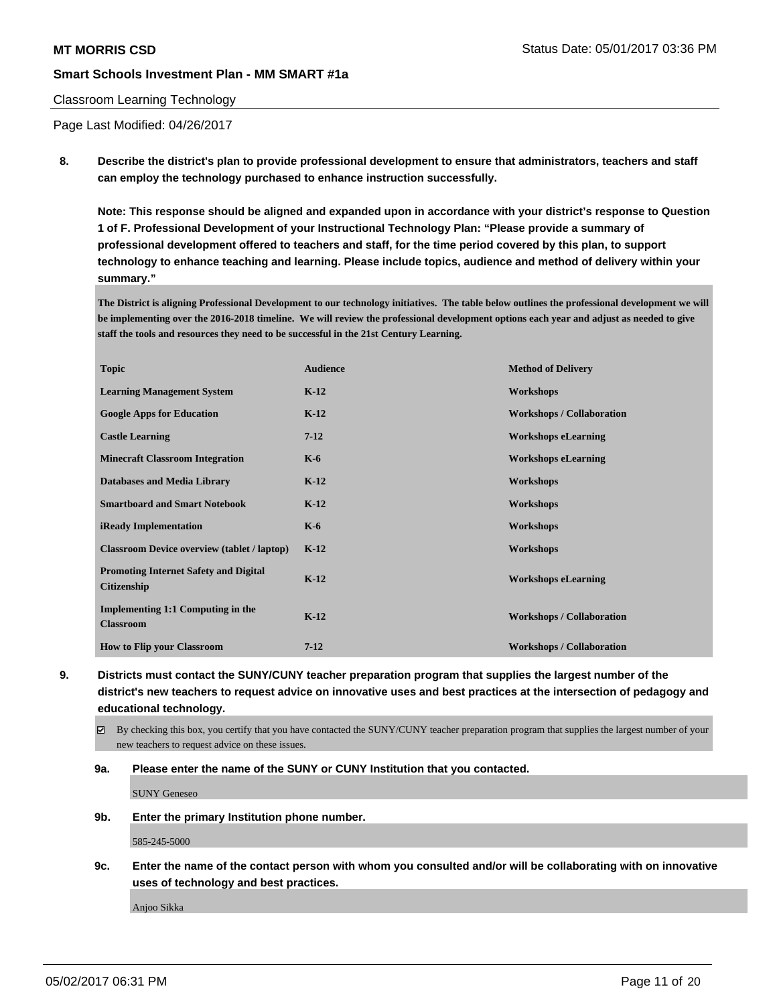#### Classroom Learning Technology

Page Last Modified: 04/26/2017

**8. Describe the district's plan to provide professional development to ensure that administrators, teachers and staff can employ the technology purchased to enhance instruction successfully.**

**Note: This response should be aligned and expanded upon in accordance with your district's response to Question 1 of F. Professional Development of your Instructional Technology Plan: "Please provide a summary of professional development offered to teachers and staff, for the time period covered by this plan, to support technology to enhance teaching and learning. Please include topics, audience and method of delivery within your summary."**

**The District is aligning Professional Development to our technology initiatives. The table below outlines the professional development we will be implementing over the 2016-2018 timeline. We will review the professional development options each year and adjust as needed to give staff the tools and resources they need to be successful in the 21st Century Learning.**

| <b>Topic</b>                                                       | <b>Audience</b> | <b>Method of Delivery</b>        |
|--------------------------------------------------------------------|-----------------|----------------------------------|
| <b>Learning Management System</b>                                  | $K-12$          | Workshops                        |
| <b>Google Apps for Education</b>                                   | $K-12$          | <b>Workshops / Collaboration</b> |
| <b>Castle Learning</b>                                             | $7-12$          | <b>Workshops eLearning</b>       |
| <b>Minecraft Classroom Integration</b>                             | $K-6$           | <b>Workshops eLearning</b>       |
| <b>Databases and Media Library</b>                                 | $K-12$          | Workshops                        |
| <b>Smartboard and Smart Notebook</b>                               | $K-12$          | Workshops                        |
| <b>iReady Implementation</b>                                       | $K-6$           | Workshops                        |
| <b>Classroom Device overview (tablet / laptop)</b>                 | $K-12$          | Workshops                        |
| <b>Promoting Internet Safety and Digital</b><br><b>Citizenship</b> | $K-12$          | <b>Workshops eLearning</b>       |
| Implementing 1:1 Computing in the<br><b>Classroom</b>              | $K-12$          | <b>Workshops / Collaboration</b> |
| <b>How to Flip your Classroom</b>                                  | $7 - 12$        | <b>Workshops / Collaboration</b> |

**9. Districts must contact the SUNY/CUNY teacher preparation program that supplies the largest number of the district's new teachers to request advice on innovative uses and best practices at the intersection of pedagogy and educational technology.**

 $\boxtimes$  By checking this box, you certify that you have contacted the SUNY/CUNY teacher preparation program that supplies the largest number of your new teachers to request advice on these issues.

**9a. Please enter the name of the SUNY or CUNY Institution that you contacted.**

SUNY Geneseo

#### **9b. Enter the primary Institution phone number.**

585-245-5000

**9c. Enter the name of the contact person with whom you consulted and/or will be collaborating with on innovative uses of technology and best practices.**

Anjoo Sikka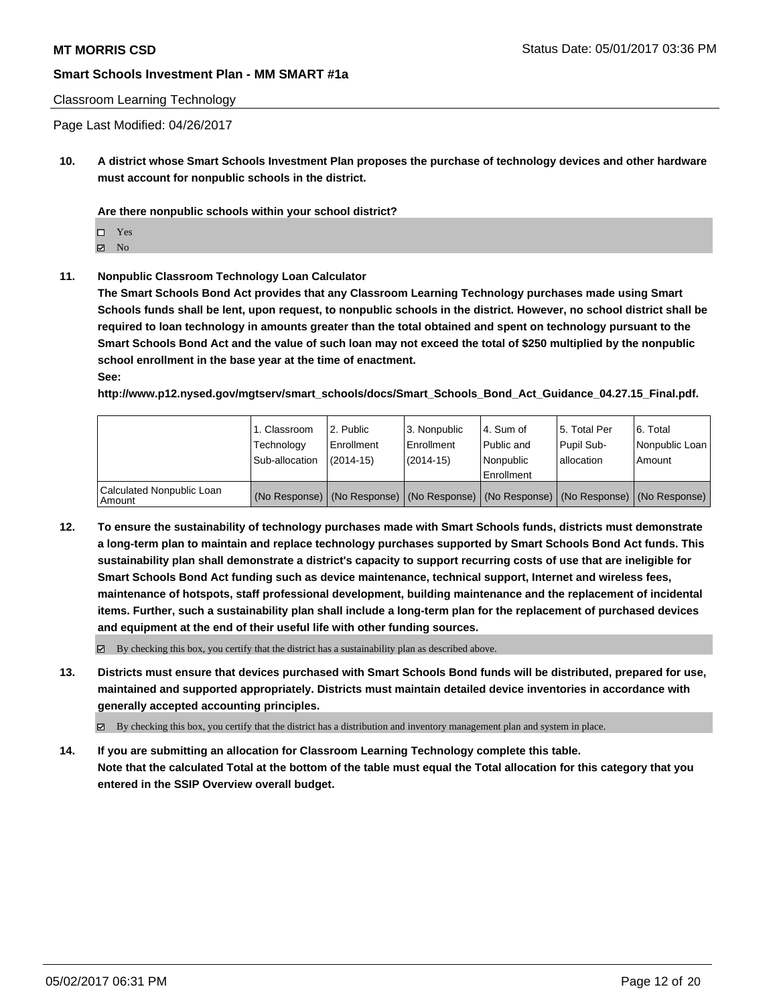#### Classroom Learning Technology

Page Last Modified: 04/26/2017

**10. A district whose Smart Schools Investment Plan proposes the purchase of technology devices and other hardware must account for nonpublic schools in the district.**

**Are there nonpublic schools within your school district?**

Yes

 $\boxtimes$  No

**11. Nonpublic Classroom Technology Loan Calculator**

**The Smart Schools Bond Act provides that any Classroom Learning Technology purchases made using Smart Schools funds shall be lent, upon request, to nonpublic schools in the district. However, no school district shall be required to loan technology in amounts greater than the total obtained and spent on technology pursuant to the Smart Schools Bond Act and the value of such loan may not exceed the total of \$250 multiplied by the nonpublic school enrollment in the base year at the time of enactment. See:**

**http://www.p12.nysed.gov/mgtserv/smart\_schools/docs/Smart\_Schools\_Bond\_Act\_Guidance\_04.27.15\_Final.pdf.**

|                                       | 1. Classroom<br>Technology<br>Sub-allocation | l 2. Public<br>Enrollment<br>$(2014-15)$ | 3. Nonpublic<br>l Enrollment<br>$(2014-15)$ | l 4. Sum of<br>Public and<br>Nonpublic<br>Enrollment                                          | 15. Total Per<br>Pupil Sub-<br>lallocation | l 6. Total<br>Nonpublic Loan<br>Amount |
|---------------------------------------|----------------------------------------------|------------------------------------------|---------------------------------------------|-----------------------------------------------------------------------------------------------|--------------------------------------------|----------------------------------------|
| Calculated Nonpublic Loan<br>l Amount |                                              |                                          |                                             | (No Response)   (No Response)   (No Response)   (No Response)   (No Response)   (No Response) |                                            |                                        |

**12. To ensure the sustainability of technology purchases made with Smart Schools funds, districts must demonstrate a long-term plan to maintain and replace technology purchases supported by Smart Schools Bond Act funds. This sustainability plan shall demonstrate a district's capacity to support recurring costs of use that are ineligible for Smart Schools Bond Act funding such as device maintenance, technical support, Internet and wireless fees, maintenance of hotspots, staff professional development, building maintenance and the replacement of incidental items. Further, such a sustainability plan shall include a long-term plan for the replacement of purchased devices and equipment at the end of their useful life with other funding sources.**

 $\boxtimes$  By checking this box, you certify that the district has a sustainability plan as described above.

**13. Districts must ensure that devices purchased with Smart Schools Bond funds will be distributed, prepared for use, maintained and supported appropriately. Districts must maintain detailed device inventories in accordance with generally accepted accounting principles.**

By checking this box, you certify that the district has a distribution and inventory management plan and system in place.

**14. If you are submitting an allocation for Classroom Learning Technology complete this table. Note that the calculated Total at the bottom of the table must equal the Total allocation for this category that you entered in the SSIP Overview overall budget.**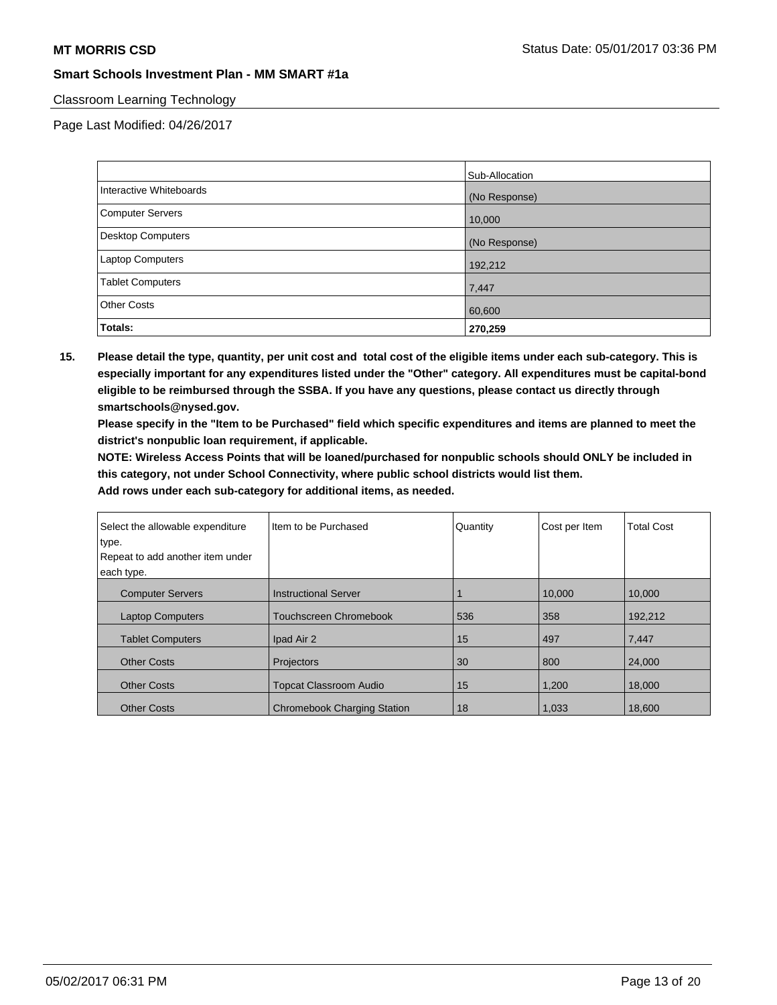### Classroom Learning Technology

Page Last Modified: 04/26/2017

|                         | Sub-Allocation |
|-------------------------|----------------|
| Interactive Whiteboards | (No Response)  |
| Computer Servers        | 10,000         |
| Desktop Computers       | (No Response)  |
| Laptop Computers        | 192,212        |
| <b>Tablet Computers</b> | 7,447          |
| <b>Other Costs</b>      | 60,600         |
| <b>Totals:</b>          | 270,259        |

**15. Please detail the type, quantity, per unit cost and total cost of the eligible items under each sub-category. This is especially important for any expenditures listed under the "Other" category. All expenditures must be capital-bond eligible to be reimbursed through the SSBA. If you have any questions, please contact us directly through smartschools@nysed.gov.**

**Please specify in the "Item to be Purchased" field which specific expenditures and items are planned to meet the district's nonpublic loan requirement, if applicable.**

**NOTE: Wireless Access Points that will be loaned/purchased for nonpublic schools should ONLY be included in this category, not under School Connectivity, where public school districts would list them.**

| Select the allowable expenditure | Item to be Purchased               | Quantity | Cost per Item | <b>Total Cost</b> |
|----------------------------------|------------------------------------|----------|---------------|-------------------|
| type.                            |                                    |          |               |                   |
| Repeat to add another item under |                                    |          |               |                   |
| each type.                       |                                    |          |               |                   |
| <b>Computer Servers</b>          | <b>Instructional Server</b>        |          | 10.000        | 10.000            |
| <b>Laptop Computers</b>          | <b>Touchscreen Chromebook</b>      | 536      | 358           | 192,212           |
| <b>Tablet Computers</b>          | Ipad Air 2                         | 15       | 497           | 7,447             |
| <b>Other Costs</b>               | Projectors                         | 30       | 800           | 24,000            |
| <b>Other Costs</b>               | <b>Topcat Classroom Audio</b>      | 15       | 1,200         | 18,000            |
| <b>Other Costs</b>               | <b>Chromebook Charging Station</b> | 18       | 1.033         | 18,600            |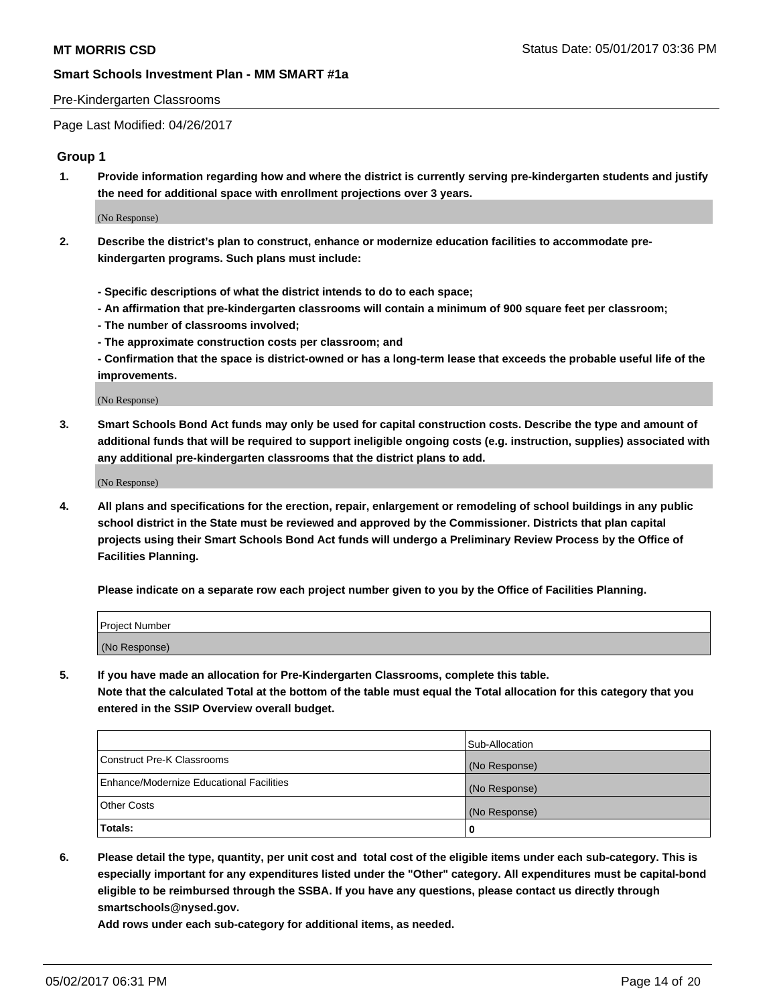#### Pre-Kindergarten Classrooms

Page Last Modified: 04/26/2017

#### **Group 1**

**1. Provide information regarding how and where the district is currently serving pre-kindergarten students and justify the need for additional space with enrollment projections over 3 years.**

(No Response)

- **2. Describe the district's plan to construct, enhance or modernize education facilities to accommodate prekindergarten programs. Such plans must include:**
	- **Specific descriptions of what the district intends to do to each space;**
	- **An affirmation that pre-kindergarten classrooms will contain a minimum of 900 square feet per classroom;**
	- **The number of classrooms involved;**
	- **The approximate construction costs per classroom; and**
	- **Confirmation that the space is district-owned or has a long-term lease that exceeds the probable useful life of the improvements.**

(No Response)

**3. Smart Schools Bond Act funds may only be used for capital construction costs. Describe the type and amount of additional funds that will be required to support ineligible ongoing costs (e.g. instruction, supplies) associated with any additional pre-kindergarten classrooms that the district plans to add.**

(No Response)

**4. All plans and specifications for the erection, repair, enlargement or remodeling of school buildings in any public school district in the State must be reviewed and approved by the Commissioner. Districts that plan capital projects using their Smart Schools Bond Act funds will undergo a Preliminary Review Process by the Office of Facilities Planning.**

**Please indicate on a separate row each project number given to you by the Office of Facilities Planning.**

| Project Number |  |
|----------------|--|
| (No Response)  |  |

**5. If you have made an allocation for Pre-Kindergarten Classrooms, complete this table. Note that the calculated Total at the bottom of the table must equal the Total allocation for this category that you entered in the SSIP Overview overall budget.**

| Totals:                                  | 0              |
|------------------------------------------|----------------|
| Other Costs                              | (No Response)  |
| Enhance/Modernize Educational Facilities | (No Response)  |
| Construct Pre-K Classrooms               | (No Response)  |
|                                          | Sub-Allocation |

**6. Please detail the type, quantity, per unit cost and total cost of the eligible items under each sub-category. This is especially important for any expenditures listed under the "Other" category. All expenditures must be capital-bond eligible to be reimbursed through the SSBA. If you have any questions, please contact us directly through smartschools@nysed.gov.**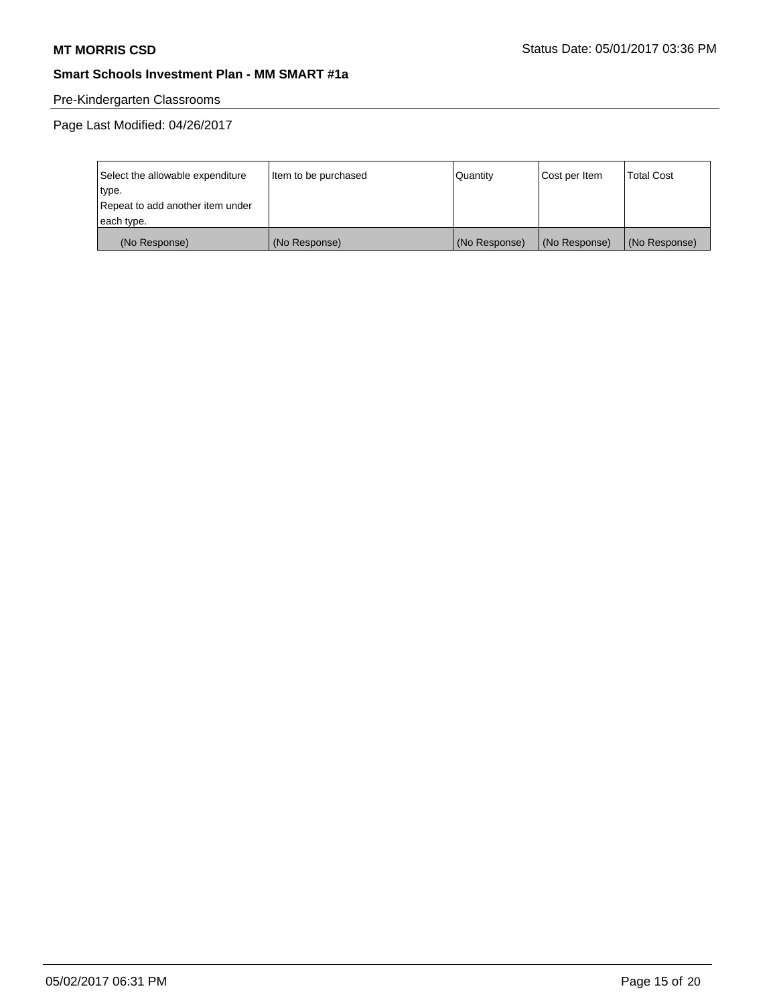# Pre-Kindergarten Classrooms

| Select the allowable expenditure | Item to be purchased | Quantity      | Cost per Item | <b>Total Cost</b> |
|----------------------------------|----------------------|---------------|---------------|-------------------|
| type.                            |                      |               |               |                   |
| Repeat to add another item under |                      |               |               |                   |
| each type.                       |                      |               |               |                   |
| (No Response)                    | (No Response)        | (No Response) | (No Response) | (No Response)     |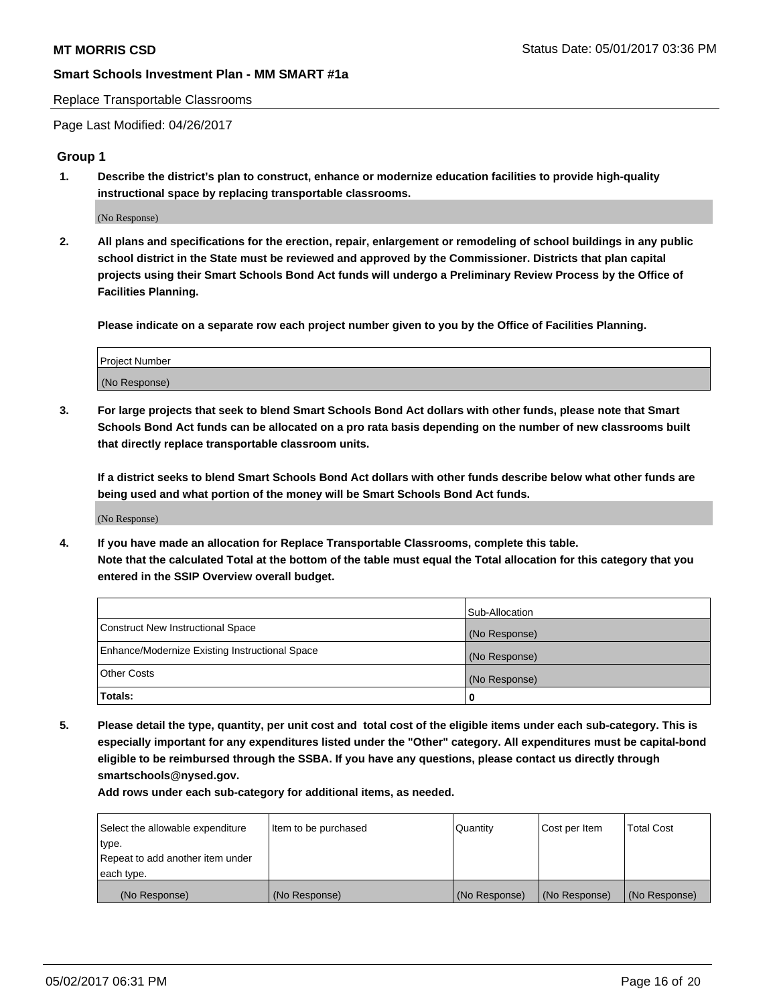#### Replace Transportable Classrooms

Page Last Modified: 04/26/2017

#### **Group 1**

**1. Describe the district's plan to construct, enhance or modernize education facilities to provide high-quality instructional space by replacing transportable classrooms.**

(No Response)

**2. All plans and specifications for the erection, repair, enlargement or remodeling of school buildings in any public school district in the State must be reviewed and approved by the Commissioner. Districts that plan capital projects using their Smart Schools Bond Act funds will undergo a Preliminary Review Process by the Office of Facilities Planning.**

**Please indicate on a separate row each project number given to you by the Office of Facilities Planning.**

| Project Number |  |
|----------------|--|
| (No Response)  |  |

**3. For large projects that seek to blend Smart Schools Bond Act dollars with other funds, please note that Smart Schools Bond Act funds can be allocated on a pro rata basis depending on the number of new classrooms built that directly replace transportable classroom units.**

**If a district seeks to blend Smart Schools Bond Act dollars with other funds describe below what other funds are being used and what portion of the money will be Smart Schools Bond Act funds.**

(No Response)

**4. If you have made an allocation for Replace Transportable Classrooms, complete this table. Note that the calculated Total at the bottom of the table must equal the Total allocation for this category that you entered in the SSIP Overview overall budget.**

|                                                | Sub-Allocation |
|------------------------------------------------|----------------|
| Construct New Instructional Space              | (No Response)  |
| Enhance/Modernize Existing Instructional Space | (No Response)  |
| Other Costs                                    | (No Response)  |
| Totals:                                        | 0              |

**5. Please detail the type, quantity, per unit cost and total cost of the eligible items under each sub-category. This is especially important for any expenditures listed under the "Other" category. All expenditures must be capital-bond eligible to be reimbursed through the SSBA. If you have any questions, please contact us directly through smartschools@nysed.gov.**

| Select the allowable expenditure | Item to be purchased | Quantity      | Cost per Item | <b>Total Cost</b> |
|----------------------------------|----------------------|---------------|---------------|-------------------|
| type.                            |                      |               |               |                   |
| Repeat to add another item under |                      |               |               |                   |
| each type.                       |                      |               |               |                   |
| (No Response)                    | (No Response)        | (No Response) | (No Response) | (No Response)     |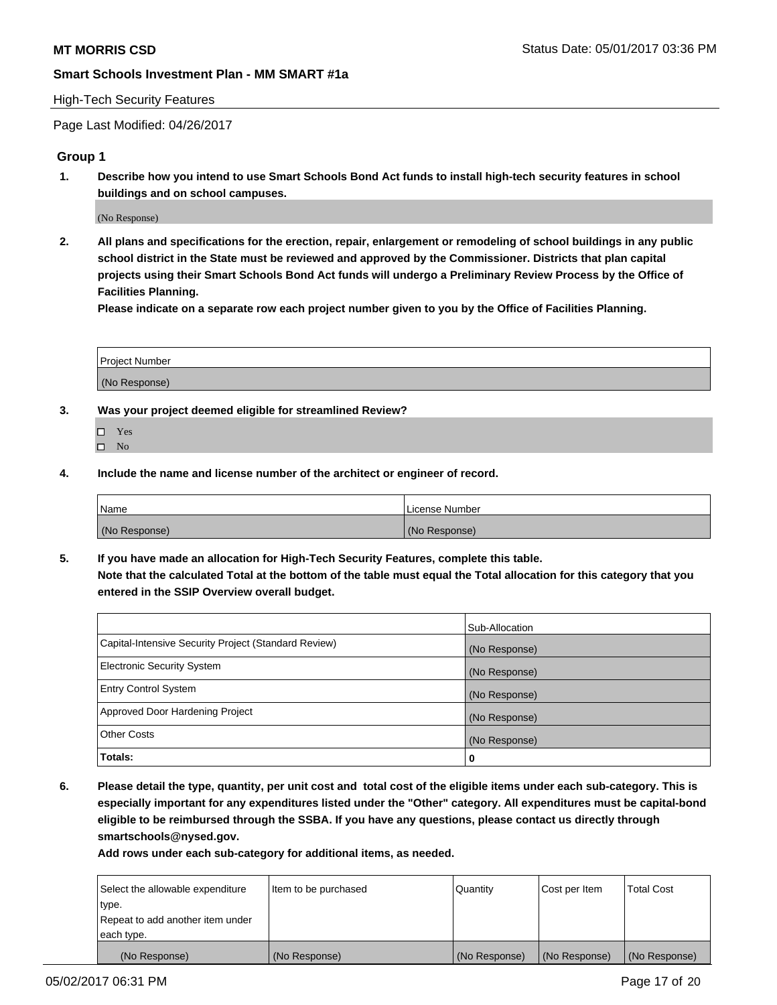#### High-Tech Security Features

Page Last Modified: 04/26/2017

#### **Group 1**

**1. Describe how you intend to use Smart Schools Bond Act funds to install high-tech security features in school buildings and on school campuses.**

(No Response)

**2. All plans and specifications for the erection, repair, enlargement or remodeling of school buildings in any public school district in the State must be reviewed and approved by the Commissioner. Districts that plan capital projects using their Smart Schools Bond Act funds will undergo a Preliminary Review Process by the Office of Facilities Planning.** 

**Please indicate on a separate row each project number given to you by the Office of Facilities Planning.**

| Project Number |  |
|----------------|--|
|                |  |
| (No Response)  |  |

- **3. Was your project deemed eligible for streamlined Review?**
	- Yes  $\hfill \square$  No
- **4. Include the name and license number of the architect or engineer of record.**

| <b>Name</b>   | License Number |
|---------------|----------------|
| (No Response) | (No Response)  |

**5. If you have made an allocation for High-Tech Security Features, complete this table. Note that the calculated Total at the bottom of the table must equal the Total allocation for this category that you entered in the SSIP Overview overall budget.**

|                                                      | Sub-Allocation |
|------------------------------------------------------|----------------|
| Capital-Intensive Security Project (Standard Review) | (No Response)  |
| <b>Electronic Security System</b>                    | (No Response)  |
| <b>Entry Control System</b>                          | (No Response)  |
| Approved Door Hardening Project                      | (No Response)  |
| <b>Other Costs</b>                                   | (No Response)  |
| Totals:                                              | 0              |

**6. Please detail the type, quantity, per unit cost and total cost of the eligible items under each sub-category. This is especially important for any expenditures listed under the "Other" category. All expenditures must be capital-bond eligible to be reimbursed through the SSBA. If you have any questions, please contact us directly through smartschools@nysed.gov.**

| (No Response)                    | (No Response)        | (No Response)   | (No Response) | (No Response)     |
|----------------------------------|----------------------|-----------------|---------------|-------------------|
| each type.                       |                      |                 |               |                   |
| Repeat to add another item under |                      |                 |               |                   |
| type.                            |                      |                 |               |                   |
| Select the allowable expenditure | Item to be purchased | <b>Quantity</b> | Cost per Item | <b>Total Cost</b> |
|                                  |                      |                 |               |                   |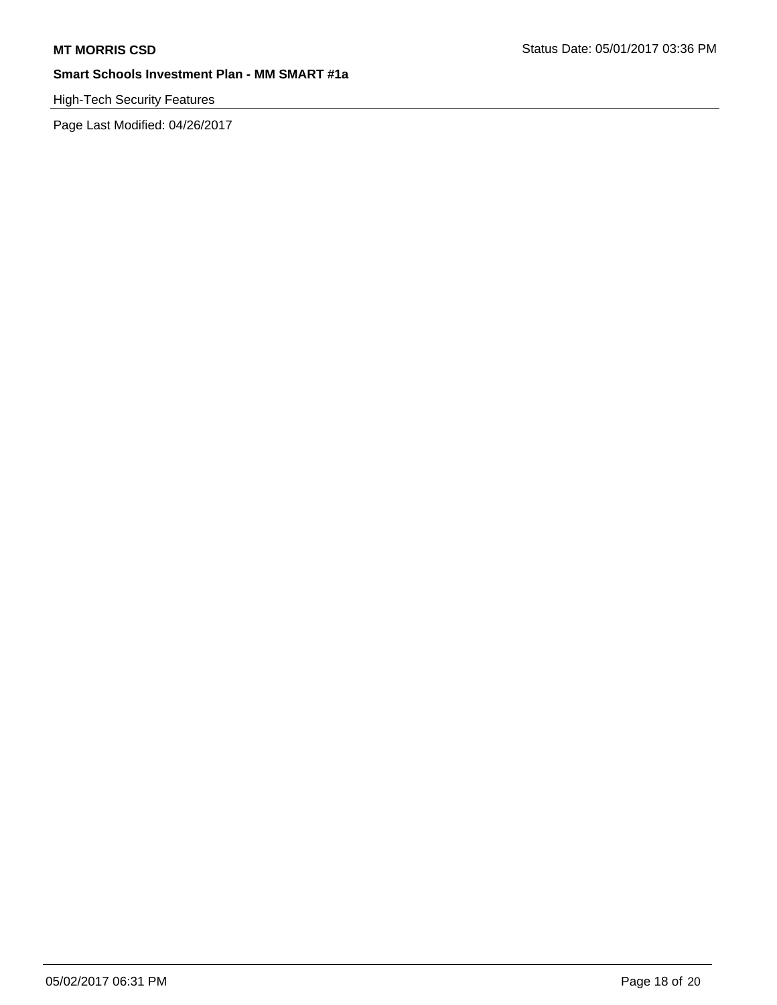# High-Tech Security Features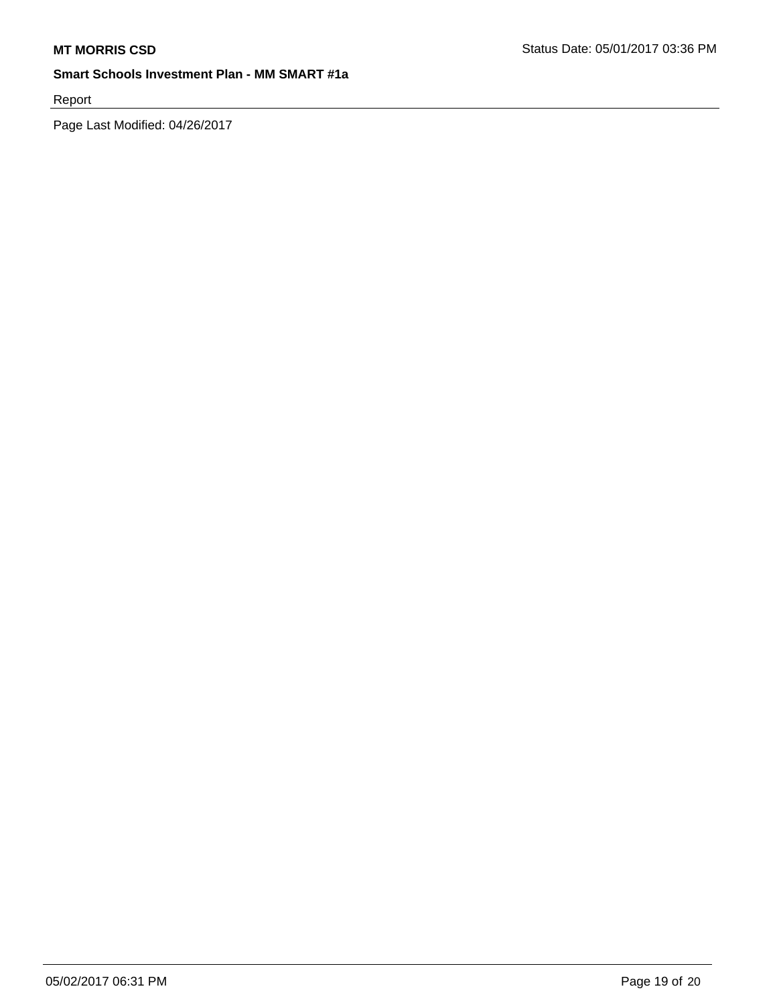Report